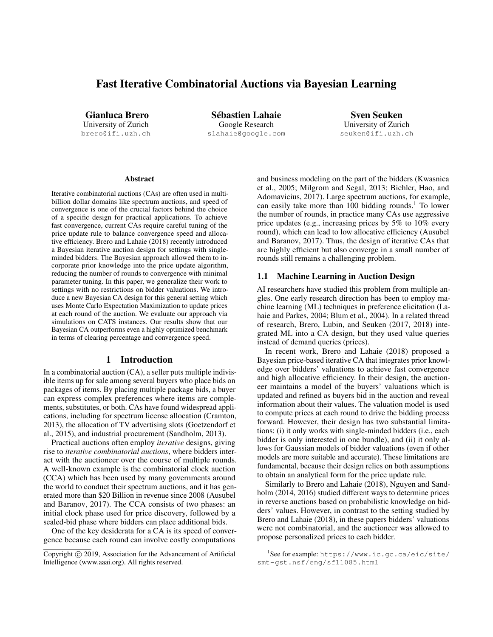# Fast Iterative Combinatorial Auctions via Bayesian Learning

Gianluca Brero University of Zurich

brero@ifi.uzh.ch

Sébastien Lahaie Google Research slahaie@google.com

Sven Seuken University of Zurich seuken@ifi.uzh.ch

#### **Abstract**

Iterative combinatorial auctions (CAs) are often used in multibillion dollar domains like spectrum auctions, and speed of convergence is one of the crucial factors behind the choice of a specific design for practical applications. To achieve fast convergence, current CAs require careful tuning of the price update rule to balance convergence speed and allocative efficiency. [Brero and Lahaie](#page-8-0) [\(2018\)](#page-8-0) recently introduced a Bayesian iterative auction design for settings with singleminded bidders. The Bayesian approach allowed them to incorporate prior knowledge into the price update algorithm, reducing the number of rounds to convergence with minimal parameter tuning. In this paper, we generalize their work to settings with no restrictions on bidder valuations. We introduce a new Bayesian CA design for this general setting which uses Monte Carlo Expectation Maximization to update prices at each round of the auction. We evaluate our approach via simulations on CATS instances. Our results show that our Bayesian CA outperforms even a highly optimized benchmark in terms of clearing percentage and convergence speed.

# 1 Introduction

In a combinatorial auction (CA), a seller puts multiple indivisible items up for sale among several buyers who place bids on packages of items. By placing multiple package bids, a buyer can express complex preferences where items are complements, substitutes, or both. CAs have found widespread applications, including for spectrum license allocation [\(Cramton,](#page-8-1) [2013\)](#page-8-1), the allocation of TV advertising slots [\(Goetzendorf et](#page-8-2) [al.,](#page-8-2) [2015\)](#page-8-2), and industrial procurement [\(Sandholm,](#page-8-3) [2013\)](#page-8-3).

Practical auctions often employ *iterative* designs, giving rise to *iterative combinatorial auctions*, where bidders interact with the auctioneer over the course of multiple rounds. A well-known example is the combinatorial clock auction (CCA) which has been used by many governments around the world to conduct their spectrum auctions, and it has generated more than \$20 Billion in revenue since 2008 [\(Ausubel](#page-7-0) [and Baranov,](#page-7-0) [2017\)](#page-7-0). The CCA consists of two phases: an initial clock phase used for price discovery, followed by a sealed-bid phase where bidders can place additional bids.

One of the key desiderata for a CA is its speed of convergence because each round can involve costly computations and business modeling on the part of the bidders [\(Kwasnica](#page-8-4) [et al.,](#page-8-4) [2005;](#page-8-4) [Milgrom and Segal,](#page-8-5) [2013;](#page-8-5) [Bichler, Hao, and](#page-7-1) [Adomavicius,](#page-7-1) [2017\)](#page-7-1). Large spectrum auctions, for example, can easily take more than [1](#page-0-0)00 bidding rounds.<sup>1</sup> To lower the number of rounds, in practice many CAs use aggressive price updates (e.g., increasing prices by 5% to 10% every round), which can lead to low allocative efficiency [\(Ausubel](#page-7-0) [and Baranov,](#page-7-0) [2017\)](#page-7-0). Thus, the design of iterative CAs that are highly efficient but also converge in a small number of rounds still remains a challenging problem.

# 1.1 Machine Learning in Auction Design

AI researchers have studied this problem from multiple angles. One early research direction has been to employ machine learning (ML) techniques in preference elicitation [\(La](#page-8-6)[haie and Parkes,](#page-8-6) [2004;](#page-8-6) [Blum et al.,](#page-8-7) [2004\)](#page-8-7). In a related thread of research, [Brero, Lubin, and Seuken](#page-8-8) [\(2017,](#page-8-8) [2018\)](#page-8-9) integrated ML into a CA design, but they used value queries instead of demand queries (prices).

In recent work, [Brero and Lahaie](#page-8-0) [\(2018\)](#page-8-0) proposed a Bayesian price-based iterative CA that integrates prior knowledge over bidders' valuations to achieve fast convergence and high allocative efficiency. In their design, the auctioneer maintains a model of the buyers' valuations which is updated and refined as buyers bid in the auction and reveal information about their values. The valuation model is used to compute prices at each round to drive the bidding process forward. However, their design has two substantial limitations: (i) it only works with single-minded bidders (i.e., each bidder is only interested in one bundle), and (ii) it only allows for Gaussian models of bidder valuations (even if other models are more suitable and accurate). These limitations are fundamental, because their design relies on both assumptions to obtain an analytical form for the price update rule.

Similarly to [Brero and Lahaie](#page-8-0) [\(2018\)](#page-8-0), [Nguyen and Sand](#page-8-10)[holm](#page-8-10) [\(2014,](#page-8-10) [2016\)](#page-8-11) studied different ways to determine prices in reverse auctions based on probabilistic knowledge on bidders' values. However, in contrast to the setting studied by [Brero and Lahaie](#page-8-0) [\(2018\)](#page-8-0), in these papers bidders' valuations were not combinatorial, and the auctioneer was allowed to propose personalized prices to each bidder.

Copyright (c) 2019, Association for the Advancement of Artificial Intelligence (www.aaai.org). All rights reserved.

<span id="page-0-0"></span><sup>1</sup> See for example: [https://www.ic.gc.ca/eic/site/](https://www.ic.gc.ca/eic/site/smt-gst.nsf/eng/sf11085.html) [smt-gst.nsf/eng/sf11085.html](https://www.ic.gc.ca/eic/site/smt-gst.nsf/eng/sf11085.html)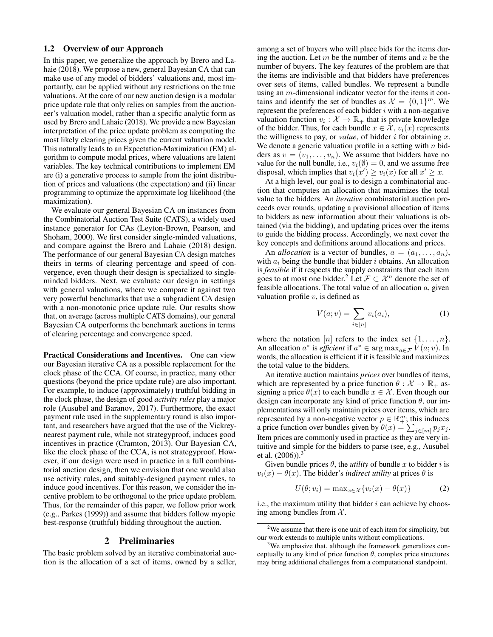#### 1.2 Overview of our Approach

In this paper, we generalize the approach by [Brero and La](#page-8-0)[haie](#page-8-0) [\(2018\)](#page-8-0). We propose a new, general Bayesian CA that can make use of any model of bidders' valuations and, most importantly, can be applied without any restrictions on the true valuations. At the core of our new auction design is a modular price update rule that only relies on samples from the auctioneer's valuation model, rather than a specific analytic form as used by [Brero and Lahaie](#page-8-0) [\(2018\)](#page-8-0). We provide a new Bayesian interpretation of the price update problem as computing the most likely clearing prices given the current valuation model. This naturally leads to an Expectation-Maximization (EM) algorithm to compute modal prices, where valuations are latent variables. The key technical contributions to implement EM are (i) a generative process to sample from the joint distribution of prices and valuations (the expectation) and (ii) linear programming to optimize the approximate log likelihood (the maximization).

We evaluate our general Bayesian CA on instances from the Combinatorial Auction Test Suite (CATS), a widely used instance generator for CAs [\(Leyton-Brown, Pearson, and](#page-8-12) [Shoham,](#page-8-12) [2000\)](#page-8-12). We first consider single-minded valuations, and compare against the [Brero and Lahaie](#page-8-0) [\(2018\)](#page-8-0) design. The performance of our general Bayesian CA design matches theirs in terms of clearing percentage and speed of convergence, even though their design is specialized to singleminded bidders. Next, we evaluate our design in settings with general valuations, where we compare it against two very powerful benchmarks that use a subgradient CA design with a non-monotonic price update rule. Our results show that, on average (across multiple CATS domains), our general Bayesian CA outperforms the benchmark auctions in terms of clearing percentage and convergence speed.

Practical Considerations and Incentives. One can view our Bayesian iterative CA as a possible replacement for the clock phase of the CCA. Of course, in practice, many other questions (beyond the price update rule) are also important. For example, to induce (approximately) truthful bidding in the clock phase, the design of good *activity rules* play a major role [\(Ausubel and Baranov,](#page-7-0) [2017\)](#page-7-0). Furthermore, the exact payment rule used in the supplementary round is also important, and researchers have argued that the use of the Vickreynearest payment rule, while not strategyproof, induces good incentives in practice [\(Cramton,](#page-8-1) [2013\)](#page-8-1). Our Bayesian CA, like the clock phase of the CCA, is not strategyproof. However, if our design were used in practice in a full combinatorial auction design, then we envision that one would also use activity rules, and suitably-designed payment rules, to induce good incentives. For this reason, we consider the incentive problem to be orthogonal to the price update problem. Thus, for the remainder of this paper, we follow prior work (e.g., [Parkes](#page-8-13) [\(1999\)](#page-8-13)) and assume that bidders follow myopic best-response (truthful) bidding throughout the auction.

### 2 Preliminaries

<span id="page-1-3"></span>The basic problem solved by an iterative combinatorial auction is the allocation of a set of items, owned by a seller,

among a set of buyers who will place bids for the items during the auction. Let  $m$  be the number of items and  $n$  be the number of buyers. The key features of the problem are that the items are indivisible and that bidders have preferences over sets of items, called bundles. We represent a bundle using an  $m$ -dimensional indicator vector for the items it contains and identify the set of bundles as  $\mathcal{X} = \{0, 1\}^m$ . We represent the preferences of each bidder  $i$  with a non-negative valuation function  $v_i : \mathcal{X} \to \mathbb{R}_+$  that is private knowledge of the bidder. Thus, for each bundle  $x \in \mathcal{X}$ ,  $v_i(x)$  represents the willigness to pay, or *value*, of bidder  $i$  for obtaining  $x$ . We denote a generic valuation profile in a setting with  $n$  bidders as  $v = (v_1, \ldots, v_n)$ . We assume that bidders have no value for the null bundle, i.e.,  $v_i(\emptyset) = 0$ , and we assume free disposal, which implies that  $v_i(x') \ge v_i(x)$  for all  $x' \ge x$ .

At a high level, our goal is to design a combinatorial auction that computes an allocation that maximizes the total value to the bidders. An *iterative* combinatorial auction proceeds over rounds, updating a provisional allocation of items to bidders as new information about their valuations is obtained (via the bidding), and updating prices over the items to guide the bidding process. Accordingly, we next cover the key concepts and definitions around allocations and prices.

An *allocation* is a vector of bundles,  $a = (a_1, \ldots, a_n)$ , with  $a_i$  being the bundle that bidder i obtains. An allocation is *feasible* if it respects the supply constraints that each item goes to at most one bidder.<sup>[2](#page-1-0)</sup> Let  $\mathcal{F} \subset \mathcal{X}^n$  denote the set of feasible allocations. The total value of an allocation  $a$ , given valuation profile  $v$ , is defined as

$$
V(a; v) = \sum_{i \in [n]} v_i(a_i),
$$
 (1)

where the notation [n] refers to the index set  $\{1, \ldots, n\}$ . An allocation  $a^*$  is *efficient* if  $a^* \in \arg \max_{a \in \mathcal{F}} \hat{V}(a; v)$ . In words, the allocation is efficient if it is feasible and maximizes the total value to the bidders.

An iterative auction maintains *prices* over bundles of items, which are represented by a price function  $\theta : \mathcal{X} \to \mathbb{R}_+$  assigning a price  $\theta(x)$  to each bundle  $x \in \mathcal{X}$ . Even though our design can incorporate any kind of price function  $\theta$ , our implementations will only maintain prices over items, which are represented by a non-negative vector  $p \in \mathbb{R}^m_+$ ; this induces a price function over bundles given by  $\theta(x) = \sum_{j \in [m]} p_j x_j$ . Item prices are commonly used in practice as they are very intuitive and simple for the bidders to parse (see, e.g., [Ausubel](#page-7-2) [et al.](#page-7-2)  $(2006)$ ).<sup>[3](#page-1-1)</sup>

Given bundle prices  $\theta$ , the *utility* of bundle x to bidder i is  $v_i(x) - \theta(x)$ . The bidder's *indirect utility* at prices  $\theta$  is

<span id="page-1-2"></span>
$$
U(\theta; v_i) = \max_{x \in \mathcal{X}} \{v_i(x) - \theta(x)\}
$$
 (2)

i.e., the maximum utility that bidder  $i$  can achieve by choosing among bundles from  $X$ .

<span id="page-1-0"></span><sup>&</sup>lt;sup>2</sup>We assume that there is one unit of each item for simplicity, but our work extends to multiple units without complications.

<span id="page-1-1"></span><sup>&</sup>lt;sup>3</sup>We emphasize that, although the framework generalizes conceptually to any kind of price function  $\theta$ , complex price structures may bring additional challenges from a computational standpoint.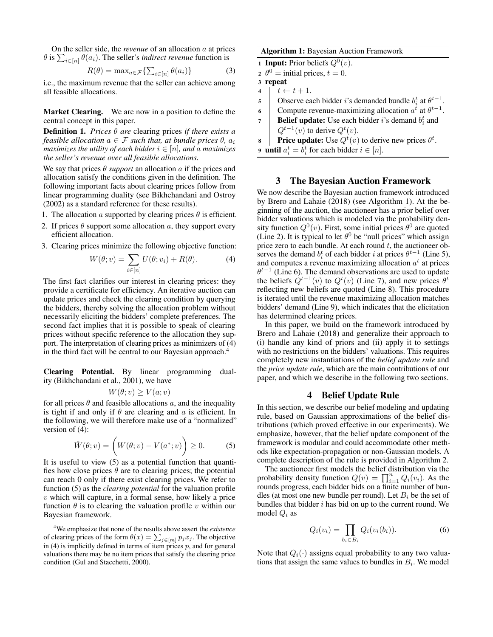On the seller side, the *revenue* of an allocation a at prices  $\theta$  is  $\sum_{i \in [n]} \theta(a_i)$ . The seller's *indirect revenue* function is

<span id="page-2-4"></span>
$$
R(\theta) = \max_{a \in \mathcal{F}} \{ \sum_{i \in [n]} \theta(a_i) \}
$$
 (3)

i.e., the maximum revenue that the seller can achieve among all feasible allocations.

Market Clearing. We are now in a position to define the central concept in this paper.

Definition 1. *Prices* θ *are* clearing prices *if there exists a feasible allocation*  $a \in \mathcal{F}$  *such that, at bundle prices*  $\theta$ *,*  $a_i$ *maximizes the utility of each bidder*  $i \in [n]$ *, and a maximizes the seller's revenue over all feasible allocations.*

We say that prices  $\theta$  *support* an allocation  $\alpha$  if the prices and allocation satisfy the conditions given in the definition. The following important facts about clearing prices follow from linear programming duality (see [Bikhchandani and Ostroy](#page-8-14) [\(2002\)](#page-8-14) as a standard reference for these results).

- 1. The allocation a supported by clearing prices  $\theta$  is efficient.
- 2. If prices  $\theta$  support some allocation a, they support every efficient allocation.
- 3. Clearing prices minimize the following objective function:

<span id="page-2-0"></span>
$$
W(\theta; v) = \sum_{i \in [n]} U(\theta; v_i) + R(\theta). \tag{4}
$$

The first fact clarifies our interest in clearing prices: they provide a certificate for efficiency. An iterative auction can update prices and check the clearing condition by querying the bidders, thereby solving the allocation problem without necessarily eliciting the bidders' complete preferences. The second fact implies that it is possible to speak of clearing prices without specific reference to the allocation they support. The interpretation of clearing prices as minimizers of [\(4\)](#page-2-0) in the third fact will be central to our Bayesian approach.<sup>[4](#page-2-1)</sup>

Clearing Potential. By linear programming duality [\(Bikhchandani et al.,](#page-8-15) [2001\)](#page-8-15), we have

$$
W(\theta; v) \ge V(a; v)
$$

for all prices  $\theta$  and feasible allocations a, and the inequality is tight if and only if  $\theta$  are clearing and a is efficient. In the following, we will therefore make use of a "normalized" version of [\(4\)](#page-2-0):

<span id="page-2-2"></span>
$$
\hat{W}(\theta; v) = \left(W(\theta; v) - V(a^*; v)\right) \ge 0. \tag{5}
$$

It is useful to view [\(5\)](#page-2-2) as a potential function that quantifies how close prices  $\theta$  are to clearing prices; the potential can reach 0 only if there exist clearing prices. We refer to function [\(5\)](#page-2-2) as the *clearing potential* for the valuation profile  $v$  which will capture, in a formal sense, how likely a price function  $\theta$  is to clearing the valuation profile v within our Bayesian framework.

Algorithm 1: Bayesian Auction Framework

1 Input: Prior beliefs  $Q^0(v)$ .

2  $\theta^0$  = initial prices,  $t = 0$ .

3 repeat

- 4  $t \leftarrow t + 1$ .
- 5 Observe each bidder i's demanded bundle  $b_i^t$  at  $\theta^{t-1}$ .
- 6 Compute revenue-maximizing allocation  $a^t$  at  $\theta^{t-1}$ .
- **7 Belief update:** Use each bidder i's demand  $b_i^t$  and  $Q^{t-1}(v)$  to derive  $Q^t(v)$ .

**8** | **Price update:** Use 
$$
Q^t(v)
$$
 to derive new prices  $\theta^t$ .

<span id="page-2-3"></span>**9** until  $a_i^t = b_i^t$  for each bidder  $i \in [n]$ .

# 3 The Bayesian Auction Framework

We now describe the Bayesian auction framework introduced by [Brero and Lahaie](#page-8-0) [\(2018\)](#page-8-0) (see Algorithm [1\)](#page-2-3). At the beginning of the auction, the auctioneer has a prior belief over bidder valuations which is modeled via the probability density function  $Q^0(v)$ . First, some initial prices  $\theta^0$  are quoted (Line 2). It is typical to let  $\theta^0$  be "null prices" which assign price zero to each bundle. At each round  $t$ , the auctioneer observes the demand  $b_i^t$  of each bidder i at prices  $\theta^{t-1}$  (Line 5), and computes a revenue maximizing allocation  $a^t$  at prices  $\theta^{t-1}$  (Line 6). The demand observations are used to update the beliefs  $Q^{t-1}(v)$  to  $Q^{t}(v)$  (Line 7), and new prices  $\theta^{t}$ reflecting new beliefs are quoted (Line 8). This procedure is iterated until the revenue maximizing allocation matches bidders' demand (Line 9), which indicates that the elicitation has determined clearing prices.

In this paper, we build on the framework introduced by [Brero and Lahaie](#page-8-0) [\(2018\)](#page-8-0) and generalize their approach to (i) handle any kind of priors and (ii) apply it to settings with no restrictions on the bidders' valuations. This requires completely new instantiations of the *belief update rule* and the *price update rule*, which are the main contributions of our paper, and which we describe in the following two sections.

### 4 Belief Update Rule

<span id="page-2-5"></span>In this section, we describe our belief modeling and updating rule, based on Gaussian approximations of the belief distributions (which proved effective in our experiments). We emphasize, however, that the belief update component of the framework is modular and could accommodate other methods like expectation-propagation or non-Gaussian models. A complete description of the rule is provided in Algorithm [2.](#page-3-0)

The auctioneer first models the belief distribution via the probability density function  $Q(v) = \prod_{i=1}^{n} Q_i(v_i)$ . As the rounds progress, each bidder bids on a finite number of bundles (at most one new bundle per round). Let  $B_i$  be the set of bundles that bidder  $i$  has bid on up to the current round. We model  $Q_i$  as

$$
Q_i(v_i) = \prod_{b_i \in B_i} Q_i(v_i(b_i)).
$$
\n
$$
(6)
$$

Note that  $Q_i(\cdot)$  assigns equal probability to any two valuations that assign the same values to bundles in  $B_i$ . We model

<span id="page-2-1"></span><sup>4</sup>We emphasize that none of the results above assert the *existence* of clearing prices of the form  $\theta(x) = \sum_{j \in [m]} p_j x_j$ . The objective in [\(4\)](#page-2-0) is implicitly defined in terms of item prices  $p$ , and for general valuations there may be no item prices that satisfy the clearing price condition [\(Gul and Stacchetti,](#page-8-16) [2000\)](#page-8-16).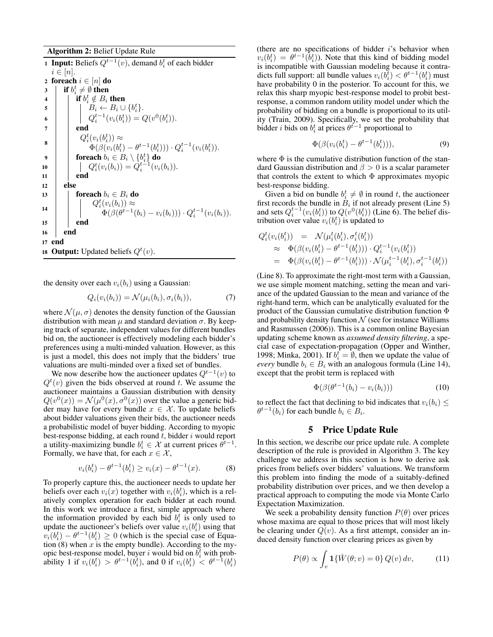#### Algorithm 2: Belief Update Rule

**1 Input:** Beliefs  $Q^{t-1}(v)$ , demand  $b_i^t$  of each bidder  $i \in [n]$ . 2 foreach  $i \in [n]$  do 3 if  $b_i^t \neq \emptyset$  then 4 if  $b_i^t \notin B_i$  then  $\begin{aligned} \mathsf{s} \quad \begin{array}{|c|c|c|} \quad & \quad \mid & \quad \ddots \quad & \quad \text{B}_i \leftarrow B_i \cup \{b_i^t\}. \end{array} \end{aligned}$ 6  $Q_i^{t-1}(v_i(b_i^t)) = Q(v^0(b_i^t)).$  $7 \mid \cdot \cdot \cdot$  end 8  $Q_i^t(v_i(b_i^t)) \approx$  $\Phi(\beta(v_i(b_i^t) - \theta^{t-1}(b_i^t))) \cdot Q_i^{t-1}(v_i(b_i^t)).$ 9  $\qquad \qquad \mid \quad \quad \textbf{foreach}\ b_i \in B_i \setminus \{b_i^t\} \ \textbf{do}$ 10  $Q_i^t(v_i(b_i)) = Q_i^{t-1}(v_i(b_i)).$  $11$  end 12 else 13  $\vert$  foreach  $b_i \in B_i$  do 14  $Q_i^t(v_i(b_i)) \approx$  $\Phi(\beta(\theta^{t-1}(b_i)-v_i(b_i))) \cdot Q_i^{t-1}(v_i(b_i)).$  $15$  end 16 end 17 end 18 Output: Updated beliefs  $Q^t(v)$ .

the density over each  $v_i(b_i)$  using a Gaussian:

<span id="page-3-0"></span>
$$
Q_i(v_i(b_i)) = \mathcal{N}(\mu_i(b_i), \sigma_i(b_i)), \tag{7}
$$

where  $\mathcal{N}(\mu, \sigma)$  denotes the density function of the Gaussian distribution with mean  $\mu$  and standard deviation  $\sigma$ . By keeping track of separate, independent values for different bundles bid on, the auctioneer is effectively modeling each bidder's preferences using a multi-minded valuation. However, as this is just a model, this does not imply that the bidders' true valuations are multi-minded over a fixed set of bundles.

We now describe how the auctioneer updates  $Q^{t-1}(v)$  to  $Q^{t}(v)$  given the bids observed at round t. We assume the auctioneer maintains a Gaussian distribution with density  $Q(v^0(x)) = \mathcal{N}(\mu^0(x), \sigma^0(x))$  over the value a generic bidder may have for every bundle  $x \in \mathcal{X}$ . To update beliefs about bidder valuations given their bids, the auctioneer needs a probabilistic model of buyer bidding. According to myopic best-response bidding, at each round  $t$ , bidder  $i$  would report a utility-maximizing bundle  $b_i^t \in \mathcal{X}$  at current prices  $\theta^{t-1}$ . Formally, we have that, for each  $x \in \mathcal{X}$ ,

<span id="page-3-1"></span>
$$
v_i(b_i^t) - \theta^{t-1}(b_i^t) \ge v_i(x) - \theta^{t-1}(x).
$$
 (8)

To properly capture this, the auctioneer needs to update her beliefs over each  $v_i(x)$  together with  $v_i(b_i^t)$ , which is a relatively complex operation for each bidder at each round. In this work we introduce a first, simple approach where the information provided by each bid  $b_i^t$  is only used to update the auctioneer's beliefs over value  $v_i(b_i^t)$  using that  $v_i(b_i^t) - \theta^{t-1}(b_i^t) \ge 0$  (which is the special case of Equation  $(8)$  when x is the empty bundle). According to the myopic best-response model, buyer i would bid on  $b_i^t$  with probability 1 if  $v_i(b_i^t) > \theta^{t-1}(b_i^t)$ , and 0 if  $v_i(b_i^t) < \theta^{t-1}(b_i^t)$ 

(there are no specifications of bidder  $i$ 's behavior when  $v_i(b_i^t) = \theta^{t-1}(\tilde{b}_i^t)$ ). Note that this kind of bidding model is incompatible with Gaussian modeling because it contradicts full support: all bundle values  $v_i(b_i^{\bar{t}}) < \theta^{t-1}(b_i^t)$  must have probability 0 in the posterior. To account for this, we relax this sharp myopic best-response model to probit bestresponse, a common random utility model under which the probability of bidding on a bundle is proportional to its utility [\(Train,](#page-8-17) [2009\)](#page-8-17). Specifically, we set the probability that bidder *i* bids on  $b_i^t$  at prices  $\theta^{t-1}$  proportional to

$$
\Phi(\beta(v_i(b_i^t) - \theta^{t-1}(b_i^t))), \qquad (9)
$$

where  $\Phi$  is the cumulative distribution function of the standard Gaussian distribution and  $\beta > 0$  is a scalar parameter that controls the extent to which  $\Phi$  approximates myopic best-response bidding.

Given a bid on bundle  $b_i^t \neq \emptyset$  in round t, the auctioneer first records the bundle in  $B_i$  if not already present (Line 5) and sets  $Q_i^{t-1}(v_i(b_i^t))$  to  $Q(v^0(b_i^t))$  (Line 6). The belief distribution over value  $v_i(b_i^t)$  is updated to

$$
Q_i^t(v_i(b_i^t)) = \mathcal{N}(\mu_i^t(b_i^t), \sigma_i^t(b_i^t))
$$
  
\n
$$
\approx \Phi(\beta(v_i(b_i^t) - \theta^{t-1}(b_i^t))) \cdot Q_i^{t-1}(v_i(b_i^t))
$$
  
\n
$$
= \Phi(\beta(v_i(b_i^t) - \theta^{t-1}(b_i^t))) \cdot \mathcal{N}(\mu_i^{t-1}(b_i^t), \sigma_i^{t-1}(b_i^t))
$$

(Line 8). To approximate the right-most term with a Gaussian, we use simple moment matching, setting the mean and variance of the updated Gaussian to the mean and variance of the right-hand term, which can be analytically evaluated for the product of the Gaussian cumulative distribution function Φ and probability density function  $\mathcal N$  (see for instance [Williams](#page-8-18) [and Rasmussen](#page-8-18) [\(2006\)](#page-8-18)). This is a common online Bayesian updating scheme known as *assumed density filtering*, a special case of expectation-propagation [\(Opper and Winther,](#page-8-19) [1998;](#page-8-19) [Minka,](#page-8-20) [2001\)](#page-8-20). If  $b_i^{\dagger} = \emptyset$ , then we update the value of *every* bundle  $b_i \in B_i$  with an analogous formula (Line 14), except that the probit term is replaced with

$$
\Phi(\beta(\theta^{t-1}(b_i) - v_i(b_i)))\tag{10}
$$

to reflect the fact that declining to bid indicates that  $v_i(b_i) \leq$  $\theta^{t-1}(b_i)$  for each bundle  $b_i \in B_i$ .

# 5 Price Update Rule

In this section, we describe our price update rule. A complete description of the rule is provided in Algorithm [3.](#page-4-0) The key challenge we address in this section is how to derive ask prices from beliefs over bidders' valuations. We transform this problem into finding the mode of a suitably-defined probability distribution over prices, and we then develop a practical approach to computing the mode via Monte Carlo Expectation Maximization.

We seek a probability density function  $P(\theta)$  over prices whose maxima are equal to those prices that will most likely be clearing under  $Q(v)$ . As a first attempt, consider an induced density function over clearing prices as given by

<span id="page-3-2"></span>
$$
P(\theta) \propto \int_{v} \mathbf{1}\{\hat{W}(\theta; v) = 0\} Q(v) dv,
$$
 (11)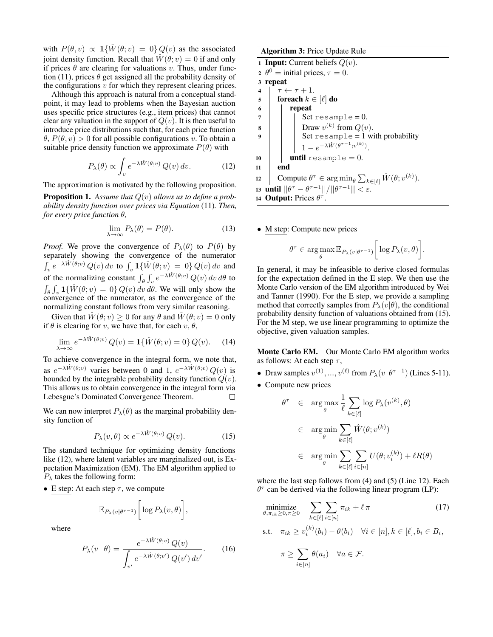with  $P(\theta, v) \propto \mathbf{1}\{\hat{W}(\theta; v) = 0\} Q(v)$  as the associated joint density function. Recall that  $W(\theta; v) = 0$  if and only if prices  $\theta$  are clearing for valuations v. Thus, under func-tion [\(11\)](#page-3-2), prices  $\theta$  get assigned all the probability density of the configurations  $v$  for which they represent clearing prices.

Although this approach is natural from a conceptual standpoint, it may lead to problems when the Bayesian auction uses specific price structures (e.g., item prices) that cannot clear any valuation in the support of  $Q(v)$ . It is then useful to introduce price distributions such that, for each price function  $\theta$ ,  $P(\theta, v) > 0$  for all possible configurations v. To obtain a suitable price density function we approximate  $P(\theta)$  with

<span id="page-4-1"></span>
$$
P_{\lambda}(\theta) \propto \int_{v} e^{-\lambda \hat{W}(\theta; v)} Q(v) dv.
$$
 (12)

The approximation is motivated by the following proposition.

Proposition 1. *Assume that* Q(v) *allows us to define a probability density function over prices via Equation* [\(11\)](#page-3-2)*. Then, for every price function* θ*,*

$$
\lim_{\lambda \to \infty} P_{\lambda}(\theta) = P(\theta). \tag{13}
$$

*Proof.* We prove the convergence of  $P_{\lambda}(\theta)$  to  $P(\theta)$  by separately showing the convergence of the numerator  $\int_{v} e^{-\lambda \hat{W}(\theta; v)} Q(v) dv$  to  $\int_{v} 1{\{\hat{W}(\theta; v) = 0\}} Q(v) dv$  and of the normalizing constant  $\int_{\theta} \int_{v} e^{-\lambda \hat{W}(\theta; v)} Q(v) dv d\theta$  to  $\int_{\theta} \int_{v} \mathbf{1} \{\hat{W}(\theta; v) = 0\} Q(v) dv d\theta$ . We will only show the convergence of the numerator, as the convergence of the normalizing constant follows from very similar reasoning.

Given that  $\hat{W}(\theta; v) \ge 0$  for any  $\theta$  and  $\hat{W}(\theta; v) = 0$  only if  $\theta$  is clearing for v, we have that, for each v,  $\theta$ ,

$$
\lim_{\lambda \to \infty} e^{-\lambda \hat{W}(\theta; v)} Q(v) = \mathbf{1}\{\hat{W}(\theta; v) = 0\} Q(v). \tag{14}
$$

To achieve convergence in the integral form, we note that, as  $e^{-\lambda \hat{W}(\theta; v)}$  varies between 0 and 1,  $e^{-\lambda \hat{W}(\theta; v)} Q(v)$  is bounded by the integrable probability density function  $Q(v)$ . This allows us to obtain convergence in the integral form via Lebesgue's Dominated Convergence Theorem.  $\Box$ 

We can now interpret  $P_{\lambda}(\theta)$  as the marginal probability density function of

<span id="page-4-2"></span>
$$
P_{\lambda}(v,\theta) \propto e^{-\lambda \hat{W}(\theta;v)} Q(v). \tag{15}
$$

The standard technique for optimizing density functions like [\(12\)](#page-4-1), where latent variables are marginalized out, is Expectation Maximization (EM). The EM algorithm applied to  $P_{\lambda}$  takes the following form:

• E step: At each step  $\tau$ , we compute

$$
\mathbb{E}_{P_{\lambda}(v|\theta^{\tau-1})}\bigg[\log P_{\lambda}(v,\theta)\bigg],\,
$$

where

<span id="page-4-4"></span>
$$
P_{\lambda}(v \mid \theta) = \frac{e^{-\lambda \hat{W}(\theta; v)} Q(v)}{\int_{v'} e^{-\lambda \hat{W}(\theta; v')} Q(v') dv'}.
$$
 (16)

#### Algorithm 3: Price Update Rule

1 Input: Current beliefs  $Q(v)$ . 2  $\theta^0$  = initial prices,  $\tau = 0$ . 3 repeat 4  $\tau \leftarrow \tau + 1$ . 5 foreach  $k \in [\ell]$  do 6 repeat  $7 \mid \cdot \cdot \cdot \cdot$  Set resample = 0. 8 | | Draw  $v^{(k)}$  from  $Q(v)$ . Set  $resample = 1$  with probability  $1 - e^{-\lambda \hat{W}(\theta^{\tau-1}; v^{(k)})}.$ 10  $\vert$  until resample = 0. 11 end 12 Compute  $\theta^{\tau} \in \arg \min_{\theta} \sum_{k \in [\ell]} \hat{W}(\theta; v^{(k)}).$ 13 until  $||\theta^{\tau} - \theta^{\tau-1}||/||\theta^{\tau-1}|| < \varepsilon$ . 14 Output: Prices  $\theta^{\tau}$ .

• M step: Compute new prices

<span id="page-4-0"></span>
$$
\theta^{\tau} \in \arg \max_{\theta} \mathbb{E}_{P_{\lambda}(v|\theta^{\tau-1})} \bigg[ \log P_{\lambda}(v, \theta) \bigg].
$$

In general, it may be infeasible to derive closed formulas for the expectation defined in the E step. We then use the Monte Carlo version of the EM algorithm introduced by [Wei](#page-8-21) [and Tanner](#page-8-21) [\(1990\)](#page-8-21). For the E step, we provide a sampling method that correctly samples from  $P_{\lambda}(v|\theta)$ , the conditional probability density function of valuations obtained from [\(15\)](#page-4-2). For the M step, we use linear programming to optimize the objective, given valuation samples.

Monte Carlo EM. Our Monte Carlo EM algorithm works as follows: At each step  $\tau$ ,

- Draw samples  $v^{(1)}, ..., v^{(\ell)}$  from  $P_{\lambda}(v|\theta^{\tau-1})$  (Lines 5-11).
- Compute new prices

<span id="page-4-3"></span> $i \in [n]$ 

$$
\theta^{\tau} \in \arg \max_{\theta} \frac{1}{\ell} \sum_{k \in [\ell]} \log P_{\lambda}(v^{(k)}, \theta)
$$
  

$$
\in \arg \min_{\theta} \sum_{k \in [\ell]} \hat{W}(\theta; v^{(k)})
$$
  

$$
\in \arg \min_{\theta} \sum_{k \in [\ell]} \sum_{i \in [n]} U(\theta; v_i^{(k)}) + \ell R(\theta)
$$

where the last step follows from [\(4\)](#page-2-0) and [\(5\)](#page-2-2) (Line 12). Each  $\theta^{\tau}$  can be derived via the following linear program (LP):

$$
\underset{\theta, \pi_{ik} \geq 0, \pi \geq 0}{\text{minimize}} \sum_{k \in [\ell]} \sum_{i \in [n]} \pi_{ik} + \ell \pi \tag{17}
$$
\n
$$
\text{s.t.} \quad \pi_{ik} \geq v_i^{(k)}(b_i) - \theta(b_i) \quad \forall i \in [n], k \in [\ell], b_i \in B_i,
$$
\n
$$
\pi \geq \sum_{k} \theta(a_i) \quad \forall a \in \mathcal{F}.
$$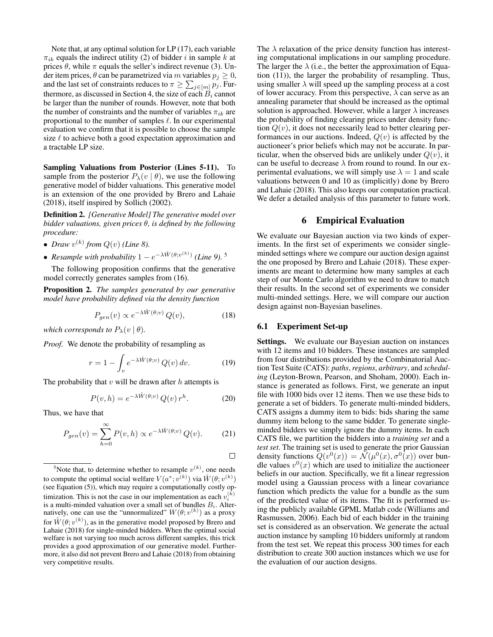Note that, at any optimal solution for LP [\(17\)](#page-4-3), each variable  $\pi_{ik}$  equals the indirect utility [\(2\)](#page-1-2) of bidder i in sample k at prices  $\theta$ , while  $\pi$  equals the seller's indirect revenue [\(3\)](#page-2-4). Under item prices,  $\theta$  can be parametrized via m variables  $p_i \geq 0$ , and the last set of constraints reduces to  $\pi \geq \sum_{j \in [m]} p_j$ . Fur-thermore, as discussed in Section [4,](#page-2-5) the size of each  $\vec{B}_i$  cannot be larger than the number of rounds. However, note that both the number of constraints and the number of variables  $\pi_{ik}$  are proportional to the number of samples  $\ell$ . In our experimental evaluation we confirm that it is possible to choose the sample size  $\ell$  to achieve both a good expectation approximation and a tractable LP size.

Sampling Valuations from Posterior (Lines 5-11). To sample from the posterior  $P_{\lambda}(v | \theta)$ , we use the following generative model of bidder valuations. This generative model is an extension of the one provided by [Brero and Lahaie](#page-8-0) [\(2018\)](#page-8-0), itself inspired by [Sollich](#page-8-22) [\(2002\)](#page-8-22).

Definition 2. *[Generative Model] The generative model over bidder valuations, given prices* θ*, is defined by the following procedure:*

- *Draw*  $v^{(k)}$  from  $Q(v)$  (Line 8).
- *Resample with probability*  $1 e^{-\lambda \hat{W}(\theta; v^{(k)})}$  (Line 9).<sup>[5](#page-5-0)</sup>

The following proposition confirms that the generative model correctly generates samples from [\(16\)](#page-4-4).

Proposition 2. *The samples generated by our generative model have probability defined via the density function*

$$
P_{gen}(v) \propto e^{-\lambda \hat{W}(\theta;v)} Q(v), \tag{18}
$$

*which corresponds to*  $P_{\lambda}(v | \theta)$ *.* 

*Proof.* We denote the probability of resampling as

$$
r = 1 - \int_{v} e^{-\lambda \hat{W}(\theta; v)} Q(v) dv.
$$
 (19)

The probability that  $v$  will be drawn after  $h$  attempts is

$$
P(v, h) = e^{-\lambda \hat{W}(\theta; v)} Q(v) r^{h}.
$$
 (20)

 $\Box$ 

Thus, we have that

$$
P_{gen}(v) = \sum_{h=0}^{\infty} P(v, h) \propto e^{-\lambda \hat{W}(\theta; v)} Q(v).
$$
 (21)

The  $\lambda$  relaxation of the price density function has interesting computational implications in our sampling procedure. The larger the  $\lambda$  (i.e., the better the approximation of Equation [\(11\)](#page-3-2)), the larger the probability of resampling. Thus, using smaller  $\lambda$  will speed up the sampling process at a cost of lower accuracy. From this perspective,  $\lambda$  can serve as an annealing parameter that should be increased as the optimal solution is approached. However, while a larger  $\lambda$  increases the probability of finding clearing prices under density function  $Q(v)$ , it does not necessarily lead to better clearing performances in our auctions. Indeed,  $Q(v)$  is affected by the auctioneer's prior beliefs which may not be accurate. In particular, when the observed bids are unlikely under  $Q(v)$ , it can be useful to decrease  $\lambda$  from round to round. In our experimental evaluations, we will simply use  $\lambda = 1$  and scale valuations between 0 and 10 as (implicitly) done by [Brero](#page-8-0) [and Lahaie](#page-8-0) [\(2018\)](#page-8-0). This also keeps our computation practical. We defer a detailed analysis of this parameter to future work.

### 6 Empirical Evaluation

We evaluate our Bayesian auction via two kinds of experiments. In the first set of experiments we consider singleminded settings where we compare our auction design against the one proposed by [Brero and Lahaie](#page-8-0) [\(2018\)](#page-8-0). These experiments are meant to determine how many samples at each step of our Monte Carlo algorithm we need to draw to match their results. In the second set of experiments we consider multi-minded settings. Here, we will compare our auction design against non-Bayesian baselines.

#### 6.1 Experiment Set-up

Settings. We evaluate our Bayesian auction on instances with 12 items and 10 bidders. These instances are sampled from four distributions provided by the Combinatorial Auction Test Suite (CATS): *paths*, *regions*, *arbitrary*, and *scheduling* [\(Leyton-Brown, Pearson, and Shoham,](#page-8-12) [2000\)](#page-8-12). Each instance is generated as follows. First, we generate an input file with 1000 bids over 12 items. Then we use these bids to generate a set of bidders. To generate multi-minded bidders, CATS assigns a dummy item to bids: bids sharing the same dummy item belong to the same bidder. To generate singleminded bidders we simply ignore the dummy items. In each CATS file, we partition the bidders into a *training set* and a *test set*. The training set is used to generate the prior Gaussian density functions  $\overline{Q}(v^0(x)) = \overline{\mathcal{N}}(\mu^0(x), \sigma^0(x))$  over bundle values  $v^0(x)$  which are used to initialize the auctioneer beliefs in our auction. Specifically, we fit a linear regression model using a Gaussian process with a linear covariance function which predicts the value for a bundle as the sum of the predicted value of its items. The fit is performed using the publicly available GPML Matlab code [\(Williams and](#page-8-18) [Rasmussen,](#page-8-18) [2006\)](#page-8-18). Each bid of each bidder in the training set is considered as an observation. We generate the actual auction instance by sampling 10 bidders uniformly at random from the test set. We repeat this process 300 times for each distribution to create 300 auction instances which we use for the evaluation of our auction designs.

<span id="page-5-0"></span><sup>&</sup>lt;sup>5</sup>Note that, to determine whether to resample  $v^{(k)}$ , one needs to compute the optimal social welfare  $V(a^*; v^{(k)})$  via  $\hat{W}(\theta; v^{(k)})$ (see Equation [\(5\)](#page-2-2)), which may require a computationally costly optimization. This is not the case in our implementation as each  $v_i^{(k)}$ is a multi-minded valuation over a small set of bundles  $B_i$ . Alternatively, one can use the "unnormalized"  $W(\theta; v^{(k)})$  as a proxy for  $\hat{W}(\theta; v^{(k)})$ , as in the generative model proposed by [Brero and](#page-8-0) [Lahaie](#page-8-0) [\(2018\)](#page-8-0) for single-minded bidders. When the optimal social welfare is not varying too much across different samples, this trick provides a good approximation of our generative model. Furthermore, it also did not prevent [Brero and Lahaie](#page-8-0) [\(2018\)](#page-8-0) from obtaining very competitive results.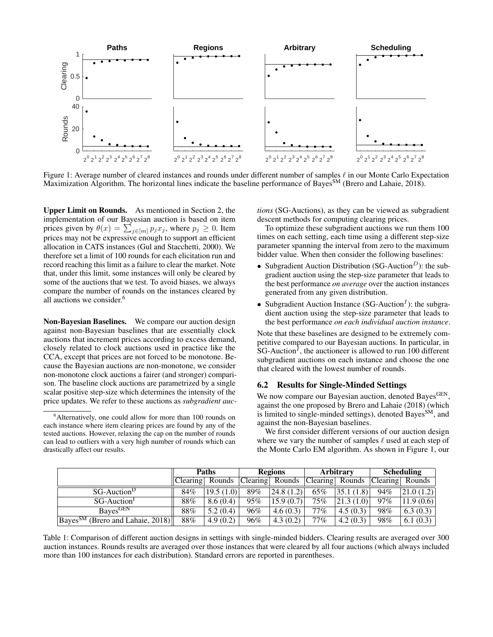<span id="page-6-1"></span>

Figure 1: Average number of cleared instances and rounds under different number of samples  $\ell$  in our Monte Carlo Expectation Maximization Algorithm. The horizontal lines indicate the baseline performance of Bayes<sup>SM</sup> [\(Brero and Lahaie,](#page-8-0) [2018\)](#page-8-0).

Upper Limit on Rounds. As mentioned in Section [2,](#page-1-3) the implementation of our Bayesian auction is based on item prices given by  $\theta(x) = \sum_{j \in [m]} p_j x_j$ , where  $p_j \ge 0$ . Item prices may not be expressive enough to support an efficient allocation in CATS instances [\(Gul and Stacchetti,](#page-8-16) [2000\)](#page-8-16). We therefore set a limit of 100 rounds for each elicitation run and record reaching this limit as a failure to clear the market. Note that, under this limit, some instances will only be cleared by some of the auctions that we test. To avoid biases, we always compare the number of rounds on the instances cleared by all auctions we consider.<sup>[6](#page-6-0)</sup>

Non-Bayesian Baselines. We compare our auction design against non-Bayesian baselines that are essentially clock auctions that increment prices according to excess demand, closely related to clock auctions used in practice like the CCA, except that prices are not forced to be monotone. Because the Bayesian auctions are non-monotone, we consider non-monotone clock auctions a fairer (and stronger) comparison. The baseline clock auctions are parametrized by a single scalar positive step-size which determines the intensity of the price updates. We refer to these auctions as *subgradient auc-* *tions* (SG-Auctions), as they can be viewed as subgradient descent methods for computing clearing prices.

To optimize these subgradient auctions we run them 100 times on each setting, each time using a different step-size parameter spanning the interval from zero to the maximum bidder value. When then consider the following baselines:

- Subgradient Auction Distribution (SG-Auction<sup>D</sup>): the subgradient auction using the step-size parameter that leads to the best performance *on average* over the auction instances generated from any given distribution.
- Subgradient Auction Instance (SG-Auction<sup>I</sup>): the subgradient auction using the step-size parameter that leads to the best performance *on each individual auction instance*.

Note that these baselines are designed to be extremely competitive compared to our Bayesian auctions. In particular, in  $SG$ -Auction<sup> $I$ </sup>, the auctioneer is allowed to run 100 different subgradient auctions on each instance and choose the one that cleared with the lowest number of rounds.

# 6.2 Results for Single-Minded Settings

We now compare our Bayesian auction, denoted Bayes<sup>GEN</sup>, against the one proposed by [Brero and Lahaie](#page-8-0) [\(2018\)](#page-8-0) (which is limited to single-minded settings), denoted Bayes<sup>SM</sup>, and against the non-Bayesian baselines.

We first consider different versions of our auction design where we vary the number of samples  $\ell$  used at each step of the Monte Carlo EM algorithm. As shown in Figure [1,](#page-6-1) our

<span id="page-6-2"></span>

|                                                            | <b>Paths</b>    |           | <b>Regions</b> |                 | Arbitrary |                 | <b>Scheduling</b> |                 |
|------------------------------------------------------------|-----------------|-----------|----------------|-----------------|-----------|-----------------|-------------------|-----------------|
|                                                            | Clearing Rounds |           |                | Clearing Rounds |           | Clearing Rounds |                   | Clearing Rounds |
| SG-Auction <sup>D</sup>                                    | 84%             | 19.5(1.0) | 89%            | 24.8(1.2)       | 65%       | 35.1(1.8)       | 94%               | 21.0(1.2)       |
| SG-Auction <sup>1</sup>                                    | 88%             | 8.6(0.4)  | 95%            | 15.9(0.7)       | 75%       | 21.3(1.0)       | 97%               | 11.9(0.6)       |
| <b>Bayes</b> GEN                                           | 88%             | 5.2(0.4)  | 96%            | 4.6(0.3)        | 77%       | 4.5(0.3)        | 98%               | 6.3(0.3)        |
| $\sqrt{\text{Bayes}^{\text{SM}}}$ (Brero and Lahaie, 2018) | 88%             | 4.9(0.2)  | 96%            | 4.3(0.2)        | 77%       | 4.2(0.3)        | 98%               | 6.1 $(0.3)$     |

Table 1: Comparison of different auction designs in settings with single-minded bidders. Clearing results are averaged over 300 auction instances. Rounds results are averaged over those instances that were cleared by all four auctions (which always included more than 100 instances for each distribution). Standard errors are reported in parentheses.

<span id="page-6-0"></span><sup>6</sup>Alternatively, one could allow for more than 100 rounds on each instance where item clearing prices are found by any of the tested auctions. However, relaxing the cap on the number of rounds can lead to outliers with a very high number of rounds which can drastically affect our results.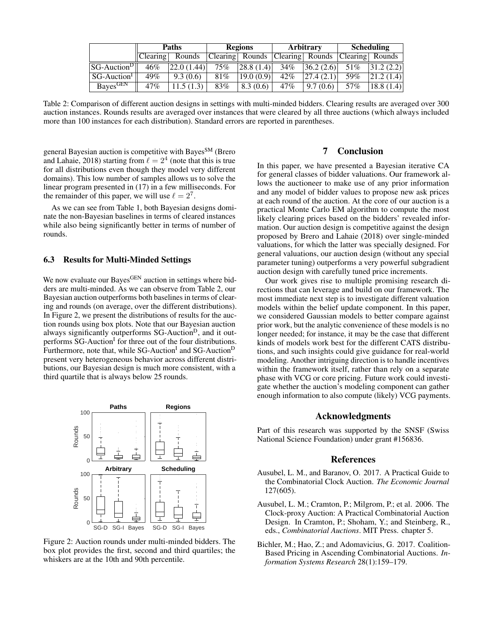<span id="page-7-3"></span>

|                        | <b>Paths</b> |             | <b>Regions</b> |                 |        | Arbitrary                            | <b>Scheduling</b> |           |
|------------------------|--------------|-------------|----------------|-----------------|--------|--------------------------------------|-------------------|-----------|
|                        | $ C$ learing | Rounds      |                | Clearing Rounds |        | Clearing  Rounds   Clearing   Rounds |                   |           |
| $ SG\text{-}AuctionD $ | 46%          | 22.0 (1.44) | 75%            | 28.8(1.4)       | $34\%$ | 36.2(2.6)                            | 51%               | 31.2(2.2) |
| $SG-Auction1$          | 49%          | 9.3(0.6)    | 81%            | 19.0(0.9)       | $42\%$ | 27.4(2.1)                            | 59%               | 21.2(1.4) |
| Bayes <sup>GEN</sup>   | 47%          | 1.5(1.3)    | 83%            | 8.3(0.6)        | $47\%$ | 9.7(0.6)                             | 57%               | 18.8(1.4) |

Table 2: Comparison of different auction designs in settings with multi-minded bidders. Clearing results are averaged over 300 auction instances. Rounds results are averaged over instances that were cleared by all three auctions (which always included more than 100 instances for each distribution). Standard errors are reported in parentheses.

general Bayesian auction is competitive with Bayes<sup>SM</sup> [\(Brero](#page-8-0) [and Lahaie,](#page-8-0) [2018\)](#page-8-0) starting from  $\ell = 2^4$  (note that this is true for all distributions even though they model very different domains). This low number of samples allows us to solve the linear program presented in [\(17\)](#page-4-3) in a few milliseconds. For the remainder of this paper, we will use  $\ell = 2^7$ .

As we can see from Table [1,](#page-6-2) both Bayesian designs dominate the non-Bayesian baselines in terms of cleared instances while also being significantly better in terms of number of rounds.

# 6.3 Results for Multi-Minded Settings

We now evaluate our Bayes<sup>GEN</sup> auction in settings where bidders are multi-minded. As we can observe from Table [2,](#page-7-3) our Bayesian auction outperforms both baselines in terms of clearing and rounds (on average, over the different distributions). In Figure [2,](#page-7-4) we present the distributions of results for the auction rounds using box plots. Note that our Bayesian auction always significantly outperforms  $SG$ -Auction<sup>D</sup>, and it outperforms SG-Auction<sup>I</sup> for three out of the four distributions. Furthermore, note that, while SG-Auction<sup>I</sup> and SG-Auction<sup>D</sup> present very heterogeneous behavior across different distributions, our Bayesian design is much more consistent, with a third quartile that is always below 25 rounds.

<span id="page-7-4"></span>

Figure 2: Auction rounds under multi-minded bidders. The box plot provides the first, second and third quartiles; the whiskers are at the 10th and 90th percentile.

# 7 Conclusion

In this paper, we have presented a Bayesian iterative CA for general classes of bidder valuations. Our framework allows the auctioneer to make use of any prior information and any model of bidder values to propose new ask prices at each round of the auction. At the core of our auction is a practical Monte Carlo EM algorithm to compute the most likely clearing prices based on the bidders' revealed information. Our auction design is competitive against the design proposed by [Brero and Lahaie](#page-8-0) [\(2018\)](#page-8-0) over single-minded valuations, for which the latter was specially designed. For general valuations, our auction design (without any special parameter tuning) outperforms a very powerful subgradient auction design with carefully tuned price increments.

Our work gives rise to multiple promising research directions that can leverage and build on our framework. The most immediate next step is to investigate different valuation models within the belief update component. In this paper, we considered Gaussian models to better compare against prior work, but the analytic convenience of these models is no longer needed; for instance, it may be the case that different kinds of models work best for the different CATS distributions, and such insights could give guidance for real-world modeling. Another intriguing direction is to handle incentives within the framework itself, rather than rely on a separate phase with VCG or core pricing. Future work could investigate whether the auction's modeling component can gather enough information to also compute (likely) VCG payments.

#### Acknowledgments

Part of this research was supported by the SNSF (Swiss National Science Foundation) under grant #156836.

### References

- <span id="page-7-0"></span>Ausubel, L. M., and Baranov, O. 2017. A Practical Guide to the Combinatorial Clock Auction. *The Economic Journal* 127(605).
- <span id="page-7-2"></span>Ausubel, L. M.; Cramton, P.; Milgrom, P.; et al. 2006. The Clock-proxy Auction: A Practical Combinatorial Auction Design. In Cramton, P.; Shoham, Y.; and Steinberg, R., eds., *Combinatorial Auctions*. MIT Press. chapter 5.
- <span id="page-7-1"></span>Bichler, M.; Hao, Z.; and Adomavicius, G. 2017. Coalition-Based Pricing in Ascending Combinatorial Auctions. *Information Systems Research* 28(1):159–179.